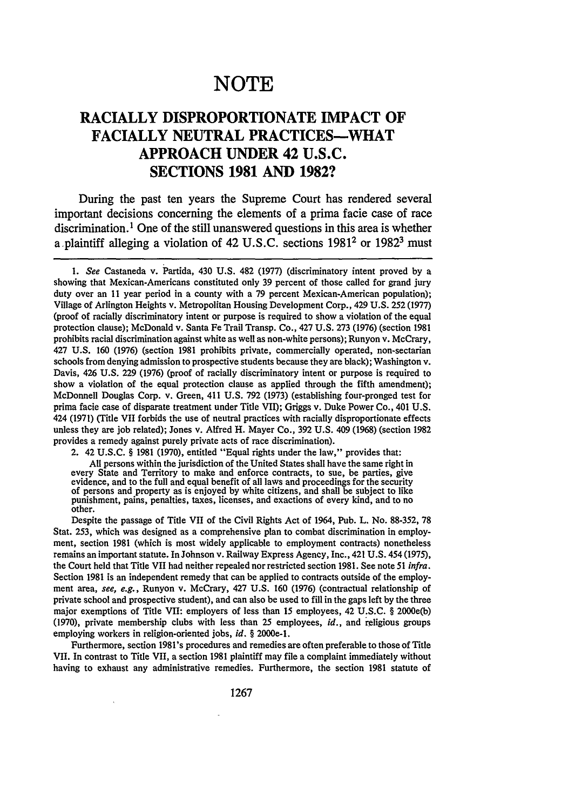# **NOTE**

## **RACIALLY DISPROPORTIONATE IMPACT OF FACIALLY NEUTRAL PRACTICES-WHAT APPROACH UNDER 42 U.S.C. SECTIONS 1981 AND 1982?**

During the past ten years the Supreme Court has rendered several important decisions concerning the elements of a prima facie case of race discrimination.<sup>1</sup> One of the still unanswered questions in this area is whether **a** plaintiff alleging a violation of 42 **U.S.C.** sections **19812** or **19823** must

2. 42 U.S.C. § 1981 (1970), entitled "Equal rights under the law," provides that:

All persons within the jurisdiction of the United States shall have the same right in every State and Territory to make and enforce contracts, to sue, be parties, give evidence, and to the full and equal benefit of all laws and proceedings for the security<br>of persons and property as is enjoyed by white citizens, and shall be subject to like punishment, pains, penalties, taxes, licenses, and exactions of every kind, and to no other.

Despite the passage of Title VII of the Civil Rights Act of 1964, Pub. L. No. 88-352, 78 Stat. 253, which was designed as a comprehensive plan to combat discrimination in employment, section 1981 (which is most widely applicable to employment contracts) nonetheless remains an important statute. In Johnson v. Railway Express Agency, Inc., 421 U.S. 454 (1975), the Court held that Title VII had neither repealed nor restricted section 1981. See note 51 *infra.* Section 1981 is an independent remedy that can be applied to contracts outside of the employment area, *see, e.g.,* Runyon v. McCrary, 427 U.S. 160 (1976) (contractual relationship of private school and prospective student), and can also be used to fill in the gaps left by the three major exemptions of Title VII: employers of less than 15 employees, 42 U.S.C. § 2000e(b) (1970), private membership clubs with less than 25 employees, *id.,* and religious groups employing workers in religion-oriented jobs, *id.* § 2000e-l.

Furthermore, section 1981's procedures and remedies are often preferable to those of Title VII. In contrast to Title VII, a section 1981 plaintiff may file a complaint immediately without having to exhaust any administrative remedies. Furthermore, the section 1981 statute of

*<sup>1.</sup> See* Castaneda v. Partida, 430 U.S. 482 (1977) (discriminatory intent proved by a showing that Mexican-Americans constituted only 39 percent of those called for grand jury duty over an 11 year period in a county with a 79 percent Mexican-American population); Village of Arlington Heights v. Metropolitan Housing Development Corp., 429 U.S. 252 (1977) (proof of racially discriminatory intent or purpose is required to show a violation of the equal protection clause); McDonald v. Santa Fe Trail Transp. Co., 427 U.S. 273 (1976) (section 1981 prohibits racial discrimination against white as well as non-white persons); Runyon v. McCrary, 427 U.S. 160 (1976) (section 1981 prohibits private, commercially operated, non-sectarian schools from denying admission to prospective students because they are black); Washington v. Davis, 426 U.S. 229 (1976) (proof of racially discriminatory intent or purpose is required to show a violation of the equal protection clause as applied through the fifth amendment); McDonnell Douglas Corp. v. Green, 411 U.S. 792 (1973) (establishing four-pronged test for prima facie case of disparate treatment under Title VII); Griggs v. Duke Power Co., 401 U.S. 424 (1971) (Title VII forbids the use of neutral practices with racially disproportionate effects unless they are job related); Jones v. Alfred H. Mayer Co., 392 U.S. 409 (1968) (section 1982 provides a remedy against purely private acts of race discrimination).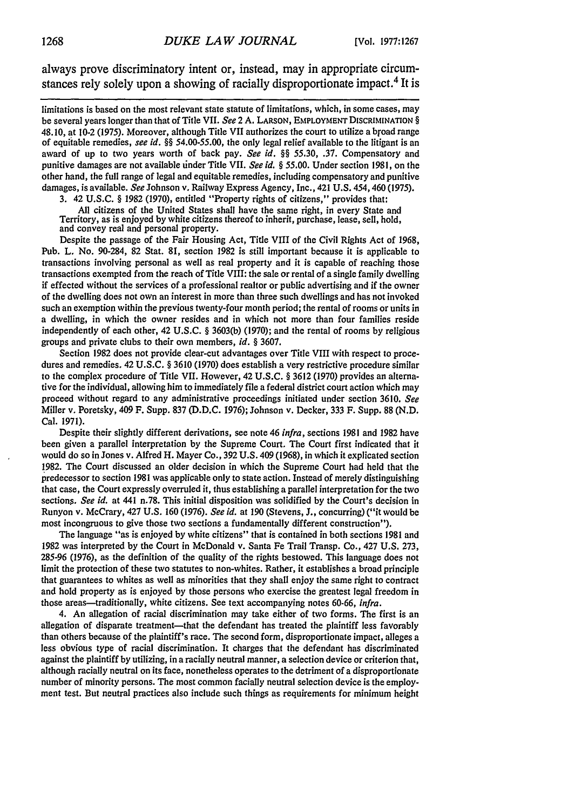always prove discriminatory intent or, instead, may in appropriate circumstances rely solely upon a showing of racially disproportionate impact. 4 It is

limitations is based on the most relevant state statute of limitations, which, in some cases, may be several years longer than that of Title VII. *See* 2 A. **LARSON,** EMPLOYMENT DISCRIMINATION **§** 48.10, at 10-2 (1975). Moreover, although Title VII authorizes the court to utilize a broad range of equitable remedies, *see id. §§ 54.00-55.00,* the only legal relief available to the litigant is an award of up to two years worth of back pay. *See id. §§* 55.30, .37. Compensatory and punitive damages are not available tinder Title VII. *See id. §* 55.00. Under section 1981, on the other hand, the full range of legal and equitable remedies, including compensatory and punitive damages, is available. *See* Johnson v. Railway Express Agency, Inc., 421 U.S. 454, 460 (1975).

3. 42 U.S.C. **§** 1982 (1970), entitled "Property rights of citizens," provides that:

All citizens of the United States shall have the same right, in every State and Territory, as is enjoyed by white citizens thereof to inherit, purchase, lease, sell, hold, and convey real and personal property.

Despite the passage of the Fair Housing Act, Title VIII of the Civil Rights Act of 1968, Pub. L. No. 90-284, 82 Stat. 81, section 1982 is still important because it is applicable to transactions involving personal as well as real property and it is capable of reaching those transactions exempted from the reach of Title VIII: the sale or rental of a single family dwelling if effected without the services of a professional realtor or public advertising and if the owner of the dwelling does not own an interest in more than three such dwellings and has not invoked such an exemption within the previous twenty-four month period; the rental of rooms or units in a dwelling, in which the owner resides and in which not more than four families reside independently of each other, 42 U.S.C. **§** 3603(b) (1970); and the rental of rooms by religious groups and private clubs to their own members, *id. §* 3607.

Section 1982 does not provide clear-cut advantages over Title VIII with respect to procedures and remedies. 42 U.S.C. **§** 3610 (1970) does establish a very restrictive procedure similar to the complex procedure of Title VII. However, 42 U.S.C. **§** 3612 (1970) provides an alternative for the individual, allowing him to immediately file a federal district court action which may proceed without regard to any administrative proceedings initiated under section 3610. *See* Miller v. Poretsky, 409 F. Supp. 837 (D.D.C. 1976); Johnson v. Decker, 333 F. Supp. 88 (N.D. Cal. 1971).

Despite their slightly different derivations, see note 46 *infra,* sections 1981 and 1982 have been given a parallel interpretation by the Supreme Court. The Court first indicated that it would do so in Jones v. Alfred H. Mayer Co., 392 U.S. 409 (1968), in which it explicated section 1982. The Court discussed an older decision in which the Supreme Court had held that the predecessor to section 1981 was applicable only to state action. Instead of merely distinguishing that case, the Court expressly overruled it, thus establishing a parallel interpretation for the two sections. *See id.* at 441 n.78. This initial disposition was solidified **by** the Court's decision in Runyon v. McCrary, 427 U.S. 160 (1976). *See id.* at 190 (Stevens, J., concurring) ("it would be most incongruous to give those two sections a fundamentally different construction").

The language "as is enjoyed by white citizens" that is contained in both sections 1981 and 1982 was interpreted by the Court in McDonald v. Santa Fe Trail Transp. Co., 427 **U.S.** 273, 285-96 (1976), as the definition of the quality of the rights bestowed. This language does not limit the protection of these two statutes to non-whites. Rather, it establishes a broad principle that guarantees to whites as well as minorities that they shall enjoy the same right to contract and hold property as is enjoyed by those persons who exercise the greatest legal freedom in those areas-traditionally, white citizens. See text accompanying notes 60-66, *infra.*

4. An allegation of racial discrimination may take either of two forms. The first is an allegation of disparate treatment-that the defendant has treated the plaintiff less favorably than others because of the plaintiff's race. The second form, disproportionate impact, alleges a less obvious type of racial discrimination. It charges that the defendant has discriminated against the plaintiff by utilizing, in a racially neutral manner, a selection device or criterion that, although racially neutral on its face, nonetheless operates to the detriment of a disproportionate number of minority persons. The most common facially neutral selection device is the employment test. But neutral practices also include such things as requirements for minimum height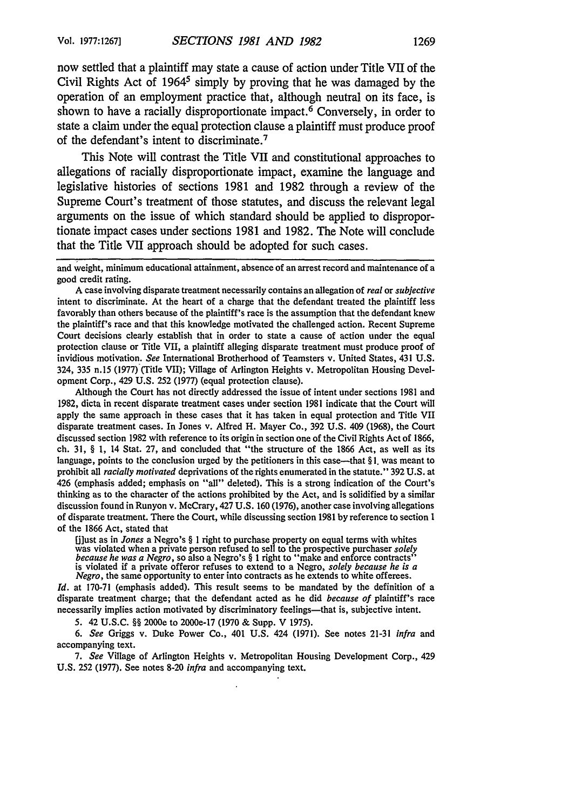now settled that a plaintiff may state a cause of action under Title VII of the Civil Rights Act of  $1964^5$  simply by proving that he was damaged by the operation of an employment practice that, although neutral on its face, is shown to have a racially disproportionate impact.<sup> $\overline{6}$ </sup> Conversely, in order to state a claim under the equal protection clause a plaintiff must produce proof of the defendant's intent to discriminate. <sup>7</sup>

This Note will contrast the Title VII and constitutional approaches to allegations of racially disproportionate impact, examine the language and legislative histories of sections 1981 and 1982 through a review of the Supreme Court's treatment of those statutes, and discuss the relevant legal arguments on the issue of which standard should be applied to disproportionate impact cases under sections 1981 and 1982. The Note will conclude that the Title VII approach should be adopted for such cases.

and weight, minimum educational attainment, absence of an arrest record and maintenance of a good credit rating.

A case involving disparate treatment necessarily contains an allegation of *real* or *subjective* intent to discriminate. At the heart of a charge that the defendant treated the plaintiff less favorably than others because of the plaintiff's race is the assumption that the defendant knew the plaintiff's race and that this knowledge motivated the challenged action. Recent Supreme Court decisions clearly establish that in order to state a cause of action under the equal protection clause or Title VII, a plaintiff alleging disparate treatment must produce proof of invidious motivation. *See* International Brotherhood of Teamsters v. United States, 431 U.S. 324, 335 n.15 (1977) (Title VII); Village of Arlington Heights v. Metropolitan Housing Development Corp., 429 U.S. 252 (1977) (equal protection clause).

Although the Court has not directly addressed the issue of intent under sections 1981 and 1982, dicta in recent disparate treatment cases under section 1981 indicate that the Court will apply the same approach in these cases that it has taken in equal protection and Title VII disparate treatment cases. In Jones v. Alfred H. Mayer Co., 392 U.S. 409 (1968), the Court discussed section 1982 with reference to its origin in section one of the Civil Rights Act of 1866, ch. 31, § **1,** 14 Stat. 27, and concluded that "the structure of the 1866 Act, as well as its language, points to the conclusion urged by the petitioners in this case—that §1, was meant to prohibit all *racially motivated* deprivations of the rights enumerated in the statute." 392 U.S. at 426 (emphasis added; emphasis on "all" deleted). This is a strong indication of the Court's thinking as to the character of the actions prohibited by the Act, and is solidified by a similar discussion found in Runyon v. McCrary, 427 U.S. 160 (1976), another case involving allegations of disparate treatment. There the Court, while discussing section 1981 by reference to section 1 of the 1866 Act, stated that

fjiust as in *Jones* a Negro's § I right to purchase property on equal terms with whites was violated when a private person refused to sell to the prospective purchaser *solely because he was a Negro,* so also a Negro's § **1** right to "make and enforce contracts" is violated if a private offeror refuses to extend to a Negro, *solely because he is a Negro,* the same opportunity to enter into contracts as he extends to white offerees.

*Id.* at 170-71 (emphasis added). This result seems to be mandated by the definition of a disparate treatment charge; that the defendant acted as he did *because of* plaintiff's race necessarily implies action motivated by discriminatory feelings—that is, subjective intent.

5. 42 U.S.C. §§ 2000e to 2000e-17 (1970 & Supp. V 1975).

*6. See* Griggs v. Duke Power Co., 401 U.S. 424 (1971). See notes 21-31 *infra* and accompanying text.

*7. See* Village of Arlington Heights v. Metropolitan Housing Development Corp., 429 U.S. 252 (1977). See notes 8-20 *infra* and accompanying text.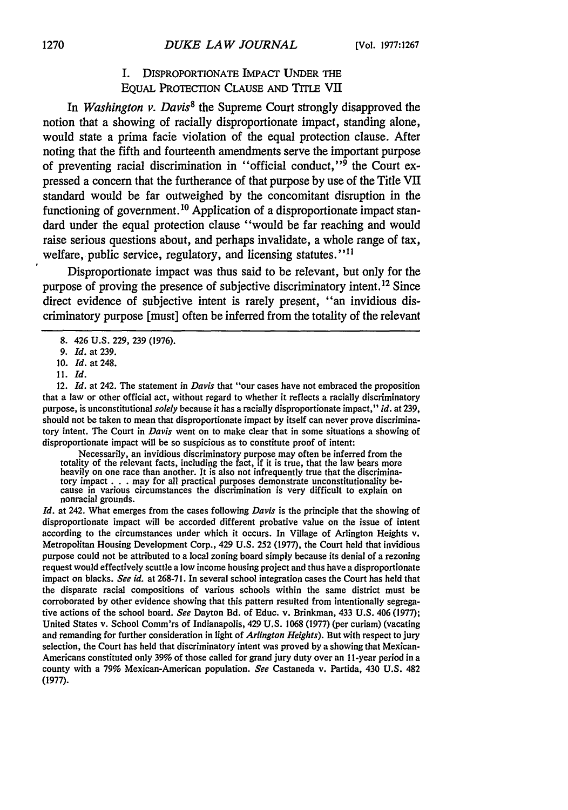### I. DISPROPORTIONATE IMPACT UNDER THE EQUAL PROTECTION CLAUSE AND TITLE VII

In *Washington v. Davis*<sup>8</sup> the Supreme Court strongly disapproved the notion that a showing of racially disproportionate impact, standing alone, would state a prima facie violation of the equal protection clause. After noting that the fifth and fourteenth amendments serve the important purpose of preventing racial discrimination in "official conduct," $\frac{1}{9}$  the Court expressed a concern that the furtherance of that purpose **by** use of the Title **VII** standard would be far outweighed **by** the concomitant disruption in the functioning of government.<sup>10</sup> Application of a disproportionate impact standard under the equal protection clause "would be far reaching and would raise serious questions about, and perhaps invalidate, a whole range of tax, welfare, public service, regulatory, and licensing statutes." **<sup>1</sup>**

Disproportionate impact was thus said to be relevant, but only for the purpose of proving the presence of subjective discriminatory intent. 12 Since direct evidence of subjective intent is rarely present, "an invidious discriminatory purpose [must] often be inferred from the totality of the relevant

12. *Id.* at 242. The statement in *Davis* that "our cases have not embraced the proposition that a law or other official act, without regard to whether it reflects a racially discriminatory purpose, is unconstitutional *solely* because it has a racially disproportionate impact," *id.* at **239,** should not be taken to mean that disproportionate impact **by** itself can never prove discriminatory intent. The Court in *Davis* went on to make clear that in some situations a showing of disproportionate impact will be so suspicious as to constitute proof of intent:

Necessarily, an invidious discriminatory purpose may often be inferred from the totality of the relevant facts, including the fact, if it is true, that the law bears more heavily on one race than another. It is also not infrequently true that the discriminatory impact **. . .** may for all practical purposes demonstrate unconstitutionality be- cause in various circumstances the discrimination is very difficult to explain on nonracial grounds.

*Id.* at 242. What emerges from the cases following *Davis* is the principle that the showing of disproportionate impact will be accorded different probative value on the issue of intent according to the circumstances under which it occurs. In Village of Arlington Heights v. Metropolitan Housing Development Corp., 429 U.S. 252 (1977), the Court held that invidious purpose could not be attributed to a local zoning board simply because its denial of a rezoning request would effectively scuttle a low income housing project and thus have a disproportionate impact on blacks. *See id.* at 268-71. In several school integration cases the Court has **held** that the disparate racial compositions of various schools within the same district must be corroborated by other evidence showing that this pattern resulted from intentionally segregative actions of the school board. *See* Dayton Bd. of Educ. v. Brinkman, 433 U.S. 406 (1977); United States v. School Comm'rs of Indianapolis, 429 **U.S.** 1068 (1977) (per curiam) (vacating and remanding for further consideration in light of *Arlington Heights).* But with respect to jury selection, the Court has held that discriminatory intent was proved **by** a showing that Mexican-Americans constituted only 39% of those called for grand jury duty over an 11-year period in a county with a 79% Mexican-American population. *See* Castaneda v. Partida, 430 **U.S.** 482 (1977).

<sup>8. 426</sup> U.S. 229, 239 (1976).

<sup>9.</sup> *Id.* at 239.

<sup>10.</sup> *Id.* at 248.

**<sup>11.</sup>** *Id.*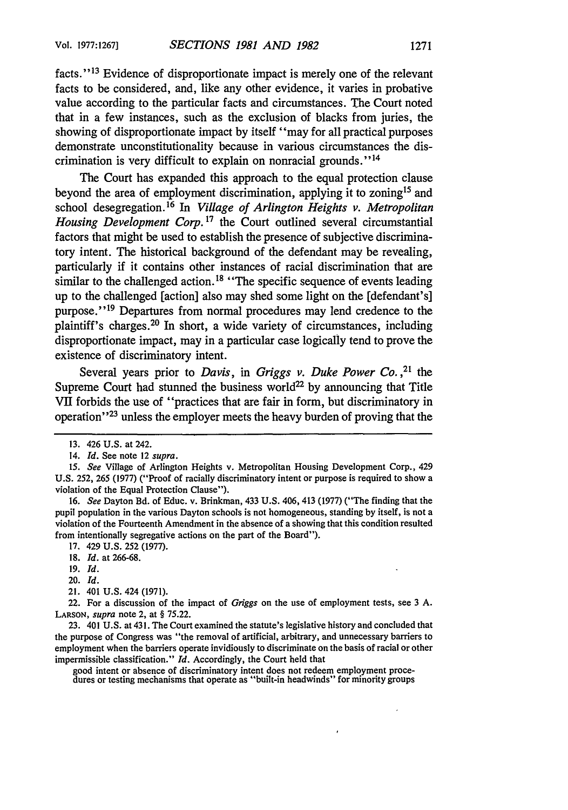facts."<sup>13</sup> Evidence of disproportionate impact is merely one of the relevant facts to be considered, and, like any other evidence, it varies in probative value according to the particular facts and circumstances. The Court noted that in a few instances, such as the exclusion of blacks from juries, the showing of disproportionate impact by itself "may for all practical purposes demonstrate unconstitutionality because in various circumstances the discrimination is very difficult to explain on nonracial grounds."14

The Court has expanded this approach to the equal protection clause beyond the area of employment discrimination, applying it to zoning<sup>15</sup> and school desegregation. 16 In *Village of Arlington Heights v. Metropolitan* Housing Development Corp.<sup>17</sup> the Court outlined several circumstantial factors that might be used to establish the presence of subjective discriminatory intent. The historical background of the defendant may be revealing, particularly if it contains other instances of racial discrimination that are similar to the challenged action.<sup>18</sup> "The specific sequence of events leading up to the challenged [action] also may shed some light on the [defendant's] purpose."<sup>19</sup> Departures from normal procedures may lend credence to the plaintiff's charges. 20 In short, a wide variety of circumstances, including disproportionate impact, may in a particular case logically tend to prove the existence of discriminatory intent.

Several years prior to *Davis*, in *Griggs v. Duke Power Co.*<sup>21</sup> the Supreme Court had stunned the business world<sup>22</sup> by announcing that Title VII forbids the use of "practices that are fair in form, but discriminatory in operation"<sup>23</sup> unless the employer meets the heavy burden of proving that the

16. *See* Dayton Bd. of Educ. v. Brinkman, 433 U.S. 406, 413 (1977) ("The finding that the pupil population in the various Dayton schools is not homogeneous, standing by itself, is not a violation of the Fourteenth Amendment in the absence of a showing that this condition resulted from intentionally segregative actions on the part of the Board").

- 18. *Id.* at 266-68.
- 19. *Id.*
- 20. *Id.*
- 21. 401 U.S. 424 (1971).

22. For a discussion of the impact of *Griggs* on the use of employment tests, see 3 A. **LARSON,** *supra* note 2, at § 75.22.

23. 401 U.S. at 431. The Court examined the statute's legislative history and concluded that the purpose of Congress was "the removal of artificial, arbitrary, and unnecessary barriers to employment when the barriers operate invidiously to discriminate on the basis of racial or other impermissible classification." *Id.* Accordingly, the Court held that

good intent or absence of discriminatory intent does not redeem employment proce-dures or testing mechanisms that operate as "built-in headwinds" for minority groups

<sup>13. 426</sup> U.S. at 242.

<sup>14.</sup> *Id.* See note 12 *supra.*

*<sup>15.</sup> See* Village of Arlington Heights v. Metropolitan Housing Development Corp., 429 U.S. 252, 265 (1977) ("Proof of racially discriminatory intent or purpose is required to show a violation of the Equal Protection Clause").

<sup>17. 429</sup> U.S. 252 (1977).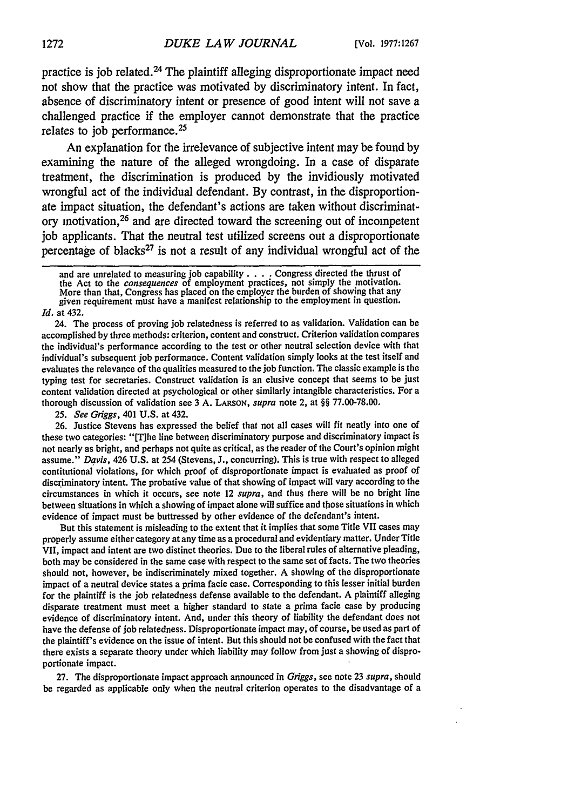practice is job related.24 The plaintiff alleging disproportionate impact need not show that the practice was motivated by discriminatory intent. In fact, absence of discriminatory intent or presence of good intent will not save a challenged practice if the employer cannot demonstrate that the practice relates to job performance. <sup>25</sup>

An explanation for the irrelevance of subjective intent may be found by examining the nature of the alleged wrongdoing. In a case of disparate treatment, the discrimination is produced by the invidiously motivated wrongful act of the individual defendant. By contrast, in the disproportionate impact situation, the defendant's actions are taken without discriminatory motivation, 26 and are directed toward the screening out of incompetent job applicants. That the neutral test utilized screens out a disproportionate percentage of blacks $27$  is not a result of any individual wrongful act of the

24. The process of proving job relatedness is referred to as validation. Validation can be accomplished by three methods: criterion, content and construct. Criterion validation compares the individual's performance according to the test or other neutral selection device with that individual's subsequent job performance. Content validation simply looks at the test itself and evaluates the relevance of the qualities measured to the job function. The classic example is the typing test for secretaries. Construct validation is an elusive concept that seems to be just content validation directed at psychological or other similarly intangible characteristics. For a thorough discussion of validation see 3 A. **LARSON,** *supra* note 2, at §§ 77.00-78.00.

*25. See Griggs,* 401 U.S. at 432.

26. Justice Stevens has expressed the belief that not all cases will fit neatly into one of these two categories: "[T]he line between discriminatory purpose and discriminatory impact is not nearly as bright, and perhaps not quite as critical, as the reader of the Court's opinion might assume." *Davis,* 426 U.S. at 254 (Stevens, J., concurring). This is true with respect to alleged contitutional violations, for which proof of disproportionate impact is evaluated as proof of discriminatory intent. The probative value of that showing of impact will vary according to the circumstances in which it occurs, see note 12 *supra,* and thus there will be no bright line between situations in which a showing of impact alone will suffice and those situations in which evidence of impact must be buttressed by other evidence of the defendant's intent.

But this statement is misleading to the extent that it implies that some Title VII cases may properly assume either category at any time as a procedural and evidentiary matter. Under Title VII, impact and intent are two distinct theories. Due to the liberal rules of alternative pleading, both may be considered in the same case with respect to the same set of facts. The two theories should not, however, be indiscriminately mixed together. A showing of the disproportionate impact of a neutral device states a prima facie case. Corresponding to this lesser initial burden for the plaintiff is the job relatedness defense available to the defendant. A plaintiff alleging disparate treatment must meet a higher standard to state a prima facie case by producing evidence of discriminatory intent. And, under this theory of liability the defendant does not have the defense of job relatedness. Disproportionate impact may, of course, be used as part of the plaintiff's evidence on the issue of intent. But this should not be confused with the fact that there exists a separate theory under which liability may follow from just a showing of disproportionate impact.

27. The disproportionate impact approach announced in *Griggs,* see note 23 *supra,* should be regarded as applicable only when the neutral criterion operates to the disadvantage of a

and are unrelated to measuring job capability. .**..** Congress directed the thrust of the Act to the *consequences* of employment practices, not simply the motivation. More than that, Congress has placed on the employer the burden of showing that any given requirement must have a manifest relationship to the employment in question. *Id.* at 432.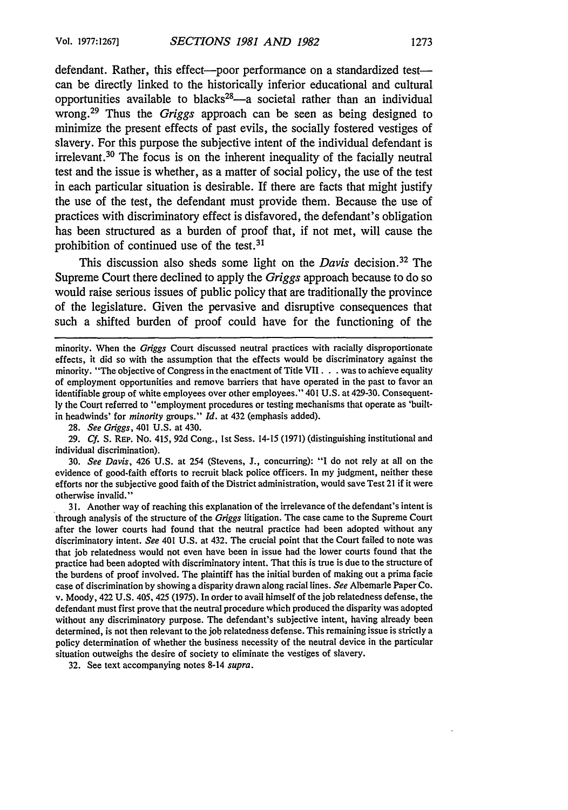defendant. Rather, this effect--poor performance on a standardized test-can be directly linked to the historically inferior educational and cultural opportunities available to blacks<sup>28</sup>—a societal rather than an individual wrong.<sup>29</sup> Thus the *Griggs* approach can be seen as being designed to minimize the present effects of past evils, the socially fostered vestiges of slavery. For this purpose the subjective intent of the individual defendant is irrelevant. 30 The focus is on the inherent inequality of the facially neutral test and the issue is whether, as a matter of social policy, the use of the test in each particular situation is desirable. If there are facts that might justify the use of the test, the defendant must provide them. Because the use of practices with discriminatory effect is disfavored, the defendant's obligation has been structured as a burden of proof that, if not met, will cause the prohibition of continued use of the test.<sup>31</sup>

This discussion also sheds some light on the *Davis* decision. 32 The Supreme Court there declined to apply the *Griggs* approach because to do so would raise serious issues of public policy that are traditionally the province of the legislature. Given the pervasive and disruptive consequences that such a shifted burden of proof could have for the functioning of the

28. *See Griggs,* 401 U.S. at 430.

29. *Cf.* S. REP. No. 415, 92d Cong., Ist Sess. 14-15 (1971) (distinguishing institutional and individual discrimination).

30. *See Davis,* 426 U.S. at 254 (Stevens, **J.,** concurring): "I do not rely at all on the evidence of good-faith efforts to recruit black police officers. In my judgment, neither these efforts nor the subjective good faith of the District administration, would save Test 21 if it were otherwise invalid."

31. Another way of reaching this explanation of the irrelevance of the defendant's intent is through analysis of the structure of the *Griggs* litigation. The case came to the Supreme Court after the lower courts had found that the neutral practice had been adopted without any discriminatory intent. *See* 401 U.S. at 432. The crucial point that the Court failed to note was that job relatedness would not even have been in issue had the lower courts found that the practice had been adopted with discriminatory intent. That this is true is due to the structure of the burdens of proof involved. The plaintiff has the initial burden of making out a prima facie case of discrimination by showing a disparity drawn along racial lines. *See* Albemarle Paper Co. v. Moody, 422 U.S. 405, 425 (1975). In order to avail himself of the job relatedness defense, the defendant must first prove that the neutral procedure which produced the disparity was adopted without any discriminatory purpose. The defendant's subjective intent, having already been determined, is not then relevant to the job relatedness defense. This remaining issue is strictly a policy determination of whether the business necessity of the neutral device in the particular situation outweighs the desire of society to eliminate the vestiges of slavery.

32. See text accompanying notes 8-14 *supra.*

minority. When the *Griggs* Court discussed neutral practices with racially disproportionate effects, it did so with the assumption that the effects would be discriminatory against the minority. "The objective of Congress in the enactment of Title VII. **.** .was to achieve equality of employment opportunities and remove barriers that have operated in the past to favor an identifiable group of white employees over other employees." 401 U.S. at 429-30. Consequently the Court referred to "employment procedures or testing mechanisms that operate as 'builtin headwinds' for *minority* groups." *Id.* at 432 (emphasis added).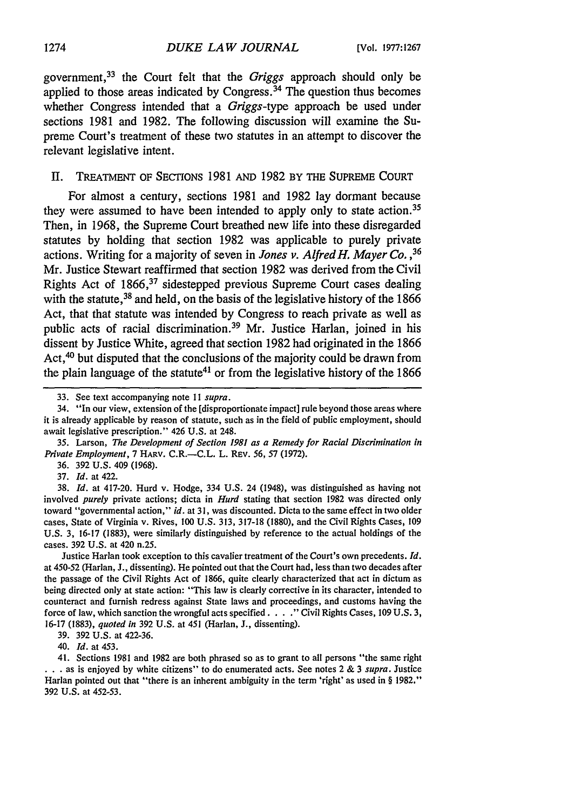government, 33 the Court felt that the *Griggs* approach should only be applied to those areas indicated **by** Congress. 34 The question thus becomes whether Congress intended that a *Griggs-type* approach be used under sections **1981** and **1982.** The following discussion will examine the Supreme Court's treatment of these two statutes in an attempt to discover the relevant legislative intent.

#### II. TREATMENT OF SECTIONS 1981 AND 1982 BY THE SUPREME COURT

For almost a century, sections **1981** and **1982** lay dormant because they were assumed to have been intended to apply only to state action.<sup>35</sup> Then, in **1968,** the Supreme Court breathed new life into these disregarded statutes **by** holding that section **1982** was applicable to purely private actions. Writing for a majority of seven in *Jones v. Alfred H. Mayer Co. ,36* Mr. Justice Stewart reaffirmed that section **1982** was derived from the Civil Rights Act of 1866,<sup>37</sup> sidestepped previous Supreme Court cases dealing with the statute, 38 and held, on the basis of the legislative history of the **1866** Act, that that statute was intended **by** Congress to reach private as well as public acts of racial discrimination.<sup>39</sup> Mr. Justice Harlan, joined in his dissent **by** Justice White, agreed that section **1982** had originated in the **1866** Act,<sup>40</sup> but disputed that the conclusions of the majority could be drawn from the plain language of the statute<sup>41</sup> or from the legislative history of the  $1866$ 

**36. 392 U.S.** 409 **(1968).**

**37.** *Id.* at 422.

**38.** *Id.* at 417-20. Hurd v. Hodge, 334 **U.S.** 24 (1948), was distinguished as having not involved *purely* private actions; dicta in *Hurd* stating that section **1982** was directed only toward "governmental action," *id.* at **31,** was discounted. Dicta to the same effect in two older cases, State of Virginia v. Rives, **100 U.S. 313, 317-18 (1880),** and the Civil Rights Cases, **109 U.S. 3, 16-17 (1883),** were similarly distinguished **by** reference to the actual holdings of the cases. **392 U.S.** at 420 n.25.

Justice Harlan took exception to this cavalier treatment of the Court's own precedents. *Id.* at 450-52 (Harlan, **J.,** dissenting). He pointed out that the Court had, less than two decades after the passage of the Civil Rights Act of **1866,** quite clearly characterized that act in dictum as being directed only at state action: "This law is clearly corrective in its character, intended to counteract and furnish redress against State laws and proceedings, and customs having the force of law, which sanction the wrongful acts specified **.. "** Civil Rights Cases, **109 U.S. 3, 16-17 (1883),** *quoted in* **392 U.S.** at 451 (Harlan, **J.,** dissenting).

40. *Id.* at 453.

41. Sections **1981** and **1982** are both phrased so as to grant to all persons "the same right **• ..**as is enjoyed **by** white citizens" to do enumerated acts. See notes 2 **&** 3 *supra.* Justice Harlan pointed out that "there is an inherent ambiguity in the term 'right' as used in § **1982." 392 U.S.** at **452-53.**

<sup>33.</sup> See text accompanying note **I** 1 *supra.*

<sup>34. &</sup>quot;In our view, extension of the [disproportionate impact] rule beyond those areas where it is already applicable by reason of statute, such as in the field of public employment, should await legislative prescription." 426 U.S. at 248.

**<sup>35.</sup>** Larson, *The Development of Section 1981 as a Remedy for Racial Discrimination in Private Employment,* **7** HARV. C.R.-C.L. L. REV. **56, 57 (1972).**

**<sup>39. 392</sup> U.S.** at 422-36.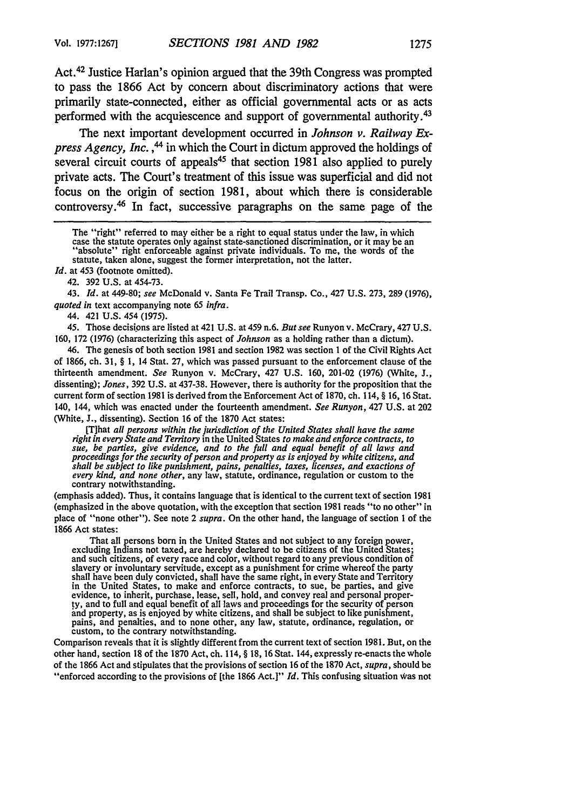Act. 42 Justice Harlan's opinion argued that the 39th Congress was prompted to pass the 1866 Act by concern about discriminatory actions that were primarily state-connected, either as official governmental acts or as acts performed with the acquiescence and support of governmental authority.<sup>43</sup>

The next important development occurred in *Johnson v. Railway Express Agency, Inc.*, <sup>44</sup> in which the Court in dictum approved the holdings of several circuit courts of appeals<sup>45</sup> that section 1981 also applied to purely private acts. The Court's treatment of this issue was superficial and did not focus on the origin of section 1981, about which there is considerable controversy. 46 In fact, successive paragraphs on the same page of the

*Id.* at 453 (footnote omitted).

42. 392 U.S. at 454-73.

43. *Id.* at 449-80; see McDonald v. Santa Fe Trail Transp. Co., 427 U.S. 273, 289 (1976), *quoted in* text accompanying note 65 *infra.*

44. 421 U.S. 454 (1975).

45. Those decisions are listed at 421 U.S. at 459 n.6. *But see* Runyon v. McCrary, 427 U.S. 160, 172 (1976) (characterizing this aspect of *Johnson* as a holding rather than a dictum).

46. The genesis of both section 1981 and section 1982 was section 1 of the Civil Rights Act of 1866, ch. 31, § 1, 14 Stat. 27, which was passed pursuant to the enforcement clause of the thirteenth amendment. *See* Runyon v. McCrary, 427 U.S. 160, 201-02 (1976) (White, J., dissenting); *Jones,* 392 U.S. at 437-38. However, there is authority for the proposition that the current form of section 1981 is derived from the Enforcement Act of 1870, ch. 114, § 16, 16 Stat. 140, 144, which was enacted under the fourteenth amendment. *See Runyon,* 427 U.S. at 202 (White, J., dissenting). Section 16 of the 1870 Act states:

[T]hat all persons within the jurisdiction of the United States shall have the same<br>right in every State and Territory in the United States to make and enforce contracts, to<br>sue, be parties, give evidence, and to the full *shall be subject to like punishment, pains, penalties, taxes, licenses, and exactions of every kind, and none other,* any law, statute, ordinance, regulation or custom to the contrary notwithstanding.

(emphasis added). Thus, it contains language that is identical to the current text of section 1981 (emphasized in the above quotation, with the exception that section 1981 reads "to no other" in place of "none other"). See note 2 *supra.* On the other hand, the language of section **I** of the 1866 Act states:

That all persons born in the United States and not subject to any foreign power, excluding Indians not taxed, are hereby declared to be citizens of the United States; and such citizens, of every race and color, without regard to any previous condition of slavery or involuntary servitude, except as a punishment for crime whereof the party shall have been duly convicted, shall have the same right, in every State and Territory in the United States, to make and enforce contracts, to sue, be parties, and give evidence, to inherit, purchase, lease, sell, hold, and convey real and personal proper-ty, and to full and equal benefit of all laws and proceedings for the security of person and property, as is enjoyed by white citizens, and shall be subject to like punishment, pains, and penalties, and to none other, any law, statute, ordinance, regulation, or custom, to the contrary notwithstanding.

Comparison reveals that it is slightly different from the current text of section 1981. But, on the other hand, section 18 of the 1870 Act, ch. 114, § 18, 16 Stat. 144, expressly re-enacts the whole of the 1866 Act and stipulates that the provisions of section 16 of the 1870 Act, *supra,* should be "enforced according to the provisions of [the 1866 Act.]" *Id.* This confusing situation was not

The "right" referred to may either be a right to equal status under the law, in which case the statute operates only against state-sanctioned discrimination, or it may be an "absolute" right enforceable against private ind statute, taken alone, suggest the former interpretation, not the latter.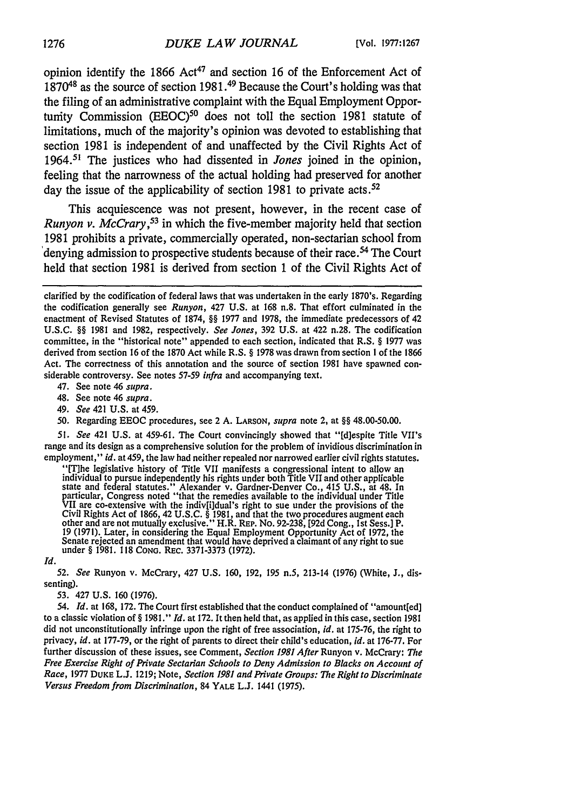opinion identify the 1866  $Act^{47}$  and section 16 of the Enforcement Act of  $1870^{48}$  as the source of section 1981.<sup>49</sup> Because the Court's holding was that the filing of an administrative complaint with the Equal Employment Opportunity Commission (EEOC)<sup>50</sup> does not toll the section 1981 statute of limitations, much of the majority's opinion was devoted to establishing that section 1981 is independent of and unaffected by the Civil Rights Act of 1964.51 The justices who had dissented in *Jones* joined in the opinion, feeling that the narrowness of the actual holding had preserved for another day the issue of the applicability of section 1981 to private acts.<sup>52</sup>

This acquiescence was not present, however, in the recent case of *Runyon v. McCrary,53* in which the five-member majority held that section 1981 prohibits a private, commercially operated, non-sectarian school from denying admission to prospective students because of their race.<sup>54</sup> The Court held that section 1981 is derived from section 1 of the Civil Rights Act of

47. See note 46 *supra.*

- 48. See note 46 *supra.*
- 49. *See* 421 U.S. at 459.
- 50. Regarding EEOC procedures, see 2 A. **LARSON,** *supra* note 2, at §§ 48.00-50.00.

*51. See* 421 U.S. at 459-61. The Court convincingly showed that "[d]espite Title VII's range and its design as a comprehensive solution for the problem of invidious discrimination in employment," *id.* at 459, the law had neither repealed nor narrowed earlier civil rights statutes.

(The legislative history of Title VII manifests a congressional interviewed in the light state in the intervent individual to pursue independently his rights under both Title VII and other applicable state and federal stat particular, Congress noted "that the remedies available to the individual under Title<br>VII are co-extensive with the indiv[i]dual's right to sue under the provisions of the<br>Civil Rights Act of 1866, 42 U.S.C. § 1981, and th other and are not mutually exclusive." H.R. REP. No. 92-238, [92d Cong., 1st Sess.] P. 19 (1971). Later, in considering the Equal Employment Opportunity Act of 1972, the Senate rejected an amendment that would have deprived a claimant of any right to sue under § 1981. 118 CoNo. REC. **3371-3373 (1972).**

52. *See* Runyon v. McCrary, 427 U.S. 160, 192, 195 n.5, 213-14 (1976) (White, J., dis-

*Id.*

senting).

53. 427 U.S. 160 (1976).

*54. Id.* at 168, 172. The Court first established that the conduct complained of "amount[ed] to a classic violation of § 1981." *Id.* at 172. It then held that, as applied in this case, section 1981 did not unconstitutionally infringe upon the right of free association, *id.* at 175-76, the right to privacy, *id.* at 177-79, or the right of parents to direct their child's education, *id.* at 176-77. For further discussion of these issues, see Comment, *Section 1981 After* Runyon v. McCrary: *The Free* Exercise Right of Private Sectarian Schools to Deny *Admission* to Blacks on Account of Race, 1977 **DUKE** L.J. 1219; Note, Section **1981** and Private Groups: The Right to Discriminate Versus Freedom from Discrimination, 84 **YALE L.J.** 1441 (1975).

clarified by the codification of federal laws that was undertaken in the early 1870's. Regarding the codification generally see *Runyon,* 427 U.S. at 168 n.8. That effort culminated in the enactment of Revised Statutes of 1874, §§ 1977 and 1978, the immediate predecessors of 42 U.S.C. §§ 1981 and 1982, respectively. *See Jones,* 392 U.S. at 422 n.28. The codification committee, in the "historical note" appended to each section, indicated that R.S. § 1977 was derived from section 16 of the 1870 Act while R.S. § 1978 was drawn from section **I** of the 1866 Act. The correctness of this annotation and the source of section 1981 have spawned considerable controversy. See notes 57-59 *infra* and accompanying text.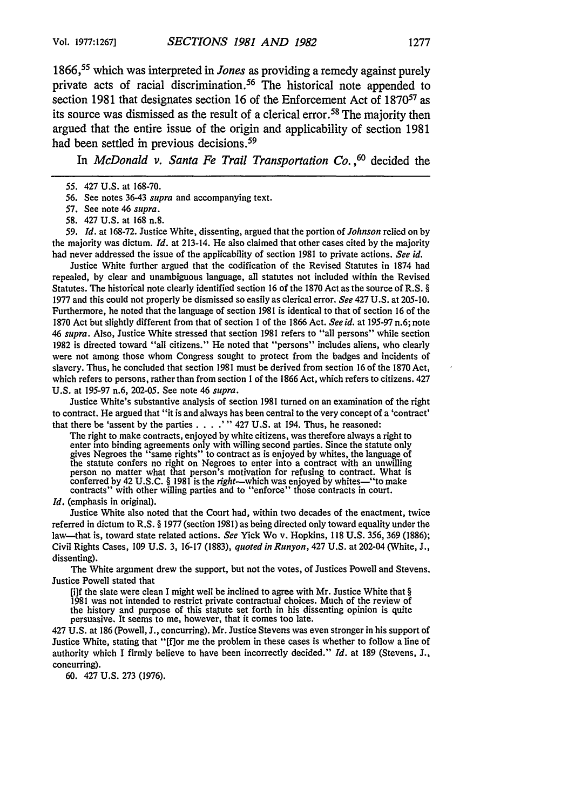1866, 55 which was interpreted in *Jones* as providing a remedy against purely private acts of racial discrimination.<sup>56</sup> The historical note appended to section 1981 that designates section 16 of the Enforcement Act of **187057** as its source was dismissed as the result of a clerical error. 58 The majority then argued that the entire issue of the origin and applicability of section 1981 had been settled in previous decisions.<sup>59</sup>

In *McDonald v. Santa Fe Trail Transportation Co.*<sup>60</sup> decided the

- 57. See note 46 *supra.*
- 58. 427 U.S. at 168 n.8.

*59. Id.* at 168-72. Justice White, dissenting, argued that the portion of *Johnson* relied on by the majority was dictum. *Id.* at 213-14. He also claimed that other cases cited by the majority had never addressed the issue of the applicability of section 1981 to private actions. *See id.*

Justice White further argued that the codification of the Revised Statutes in 1874 had repealed, by clear and unambiguous language, all statutes not included within the Revised Statutes. The historical note clearly identified section 16 of the 1870 Act as the source of R.S. § 1977 and this could not properly be dismissed so easily as clerical error. *See* 427 U.S. at 205-10. Furthermore, he noted that the language of section 1981 is identical to that of section 16 of the 1870 Act but slightly different from that of section 1 of the 1866 Act. *See id.* at 195-97 n.6; note 46 *supra.* Also, Justice White stressed that section 1981 refers to "all persons" while section 1982 is directed toward "all citizens." He noted that "persons" includes aliens, who clearly were not among those whom Congress sought to protect from the badges and incidents of slavery. Thus, he concluded that section 1981 must be derived from section 16 of the 1870 Act, which refers to persons, rather than from section 1 of the 1866 Act, which refers to citizens. 427 U.S. at 195-97 n.6, 202-05. See note 46 *supra.*

Justice White's substantive analysis of section 1981 turned on an examination of the right to contract. He argued that "it is and always has been central to the very concept of a 'contract' that there be 'assent by the parties .... **"** 427 U.S. at 194. Thus, he reasoned:

The right to make contracts, enjoyed by white citizens, was therefore always a right to enter into binding agreements only with willing second parties. Since the statute only gives Negroes the "same rights" to contract as is enjoyed by whites, the language of the statute confers no right on Negroes to enter into a contract with an unwilling person no matter what that person's motivation for refusing to contract. What is conferred by 42 U.S.C. § 1981 is the *right*—which was enjoyed by whites—"to make contracts" with other willing parties and to "enforce" those contracts in court.

*Id.* (emphasis in original).

Justice White also noted that the Court had, within two decades of the enactment, twice referred in dictum to R.S. § 1977 (section 1981) as being directed only toward equality under the law-that is, toward state related actions. *See* Yick Wo v. Hopkins, 118 U.S. 356, 369 (1886); Civil Rights Cases, 109 U.S. 3, 16-17 (1883), *quoted in Runyon,* 427 U.S. at 202-04 (White, J., dissenting).

The White argument drew the support, but not the votes, of Justices Powell and Stevens. Justice Powell stated that

[i]f the slate were clean I might well be inclined to agree with Mr. Justice White that § 1981 was not intended to restrict private contractual choices. Much of the review of the history and purpose of this statute set forth in his dissenting opinion is quite persuasive. It seems to me, however, that it comes too late.

427 U.S. at 186 (Powell, J., concurring). Mr. Justice Stevens was even stronger in his support of Justice White, stating that "[flor me the problem in these cases is whether to follow a line of authority which I firmly believe to have been incorrectly decided." *Id.* at 189 (Stevens, J., concurring).

60. 427 U.S. 273 (1976).

<sup>55. 427</sup> U.S. at 168-70.

<sup>56.</sup> See notes 36-43 *supra* and accompanying text.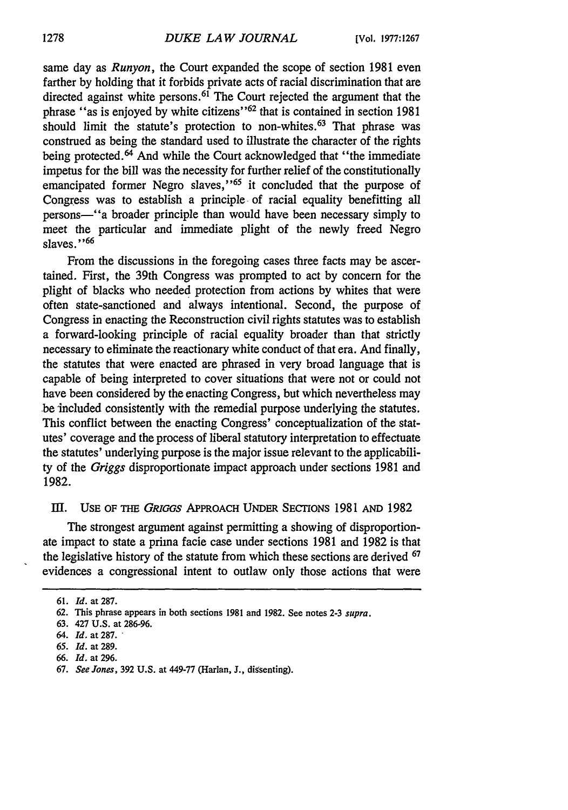same day as *Runyon,* the Court expanded the scope of section 1981 even farther by holding that it forbids private acts of racial discrimination that are directed against white persons.<sup>61</sup> The Court rejected the argument that the phrase "as is enjoyed by white citizens"<sup>62</sup> that is contained in section 1981 should limit the statute's protection to non-whites.<sup>63</sup> That phrase was construed as being the standard used to illustrate the character of the rights being protected.<sup>64</sup> And while the Court acknowledged that "the immediate" impetus for the bill was the necessity for further relief of the constitutionally emancipated former Negro slaves,"<sup>65</sup> it concluded that the purpose of Congress was to establish a principle of racial equality benefitting all persons-'a broader principle than would have been necessary simply to meet the particular and immediate plight of the newly freed Negro slaves. **"66**

From the discussions in the foregoing cases three facts may be ascertained. First, the 39th Congress was prompted to act by concern for the plight of blacks who needed protection from actions by whites that were often state-sanctioned and always intentional. Second, the purpose of Congress in enacting the Reconstruction civil rights statutes was to establish a forward-looking principle of racial equality broader than that strictly necessary to eliminate the reactionary white conduct of that era. And finally, the statutes that were enacted are phrased in very broad language that is capable of being interpreted to cover situations that were not or could not have been considered by the enacting Congress, but which nevertheless may be included consistently with the remedial purpose underlying the statutes. This conflict between the enacting Congress' conceptualization of the statutes' coverage and the process of liberal statutory interpretation to effectuate the statutes' underlying purpose is the major issue relevant to the applicability of the *Griggs* disproportionate impact approach under sections 1981 and 1982.

#### III. USE OF THE *GRIGGS* APPROACH UNDER SECTIONS 1981 AND 1982

The strongest argument against permitting a showing of disproportionate impact to state a prima facie case under sections 1981 and 1982 is that the legislative history of the statute from which these sections are derived <sup>67</sup> evidences a congressional intent to outlaw only those actions that were

<sup>61.</sup> *Id.* at **287.**

<sup>62.</sup> This phrase appears in both sections 1981 and 1982. See notes 2-3 *supra.*

**<sup>63.</sup>** 427 U.S. at 286-96.

*<sup>64.</sup> Id.* at 287.

*<sup>65.</sup> Id.* at 289.

<sup>66.</sup> *Id.* at 296.

<sup>67.</sup> *See Jones,* 392 U.S. at 449-77 (Harlan, **J.,** dissenting).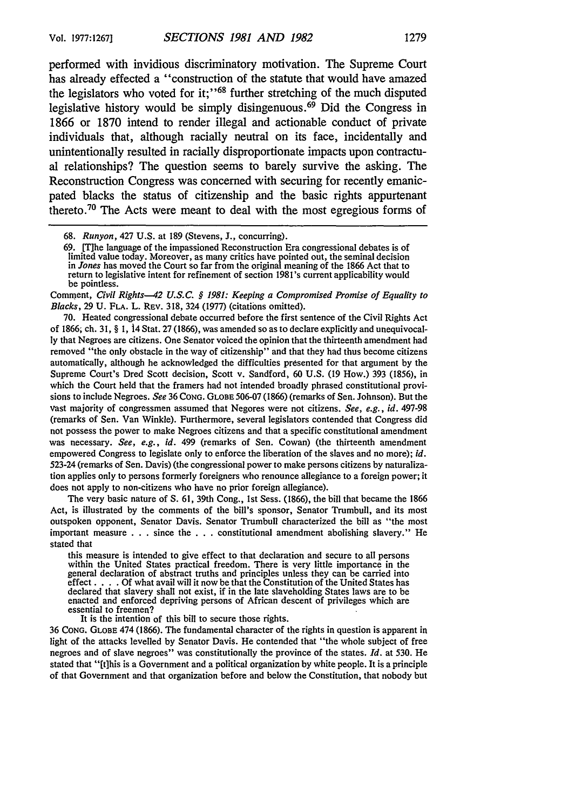performed with invidious discriminatory motivation. The Supreme Court has already effected a "construction of the statute that would have amazed the legislators who voted for it;"<sup>68</sup> further stretching of the much disputed legislative history would be simply disingenuous.<sup> $69$ </sup> Did the Congress in **1866** or **1870** intend to render illegal and actionable conduct of private individuals that, although racially neutral on its face, incidentally and unintentionally resulted in racially disproportionate impacts upon contractual relationships? The question seems to barely survive the asking. The Reconstruction Congress was concerned with securing for recently emanicpated blacks the status of citizenship and the basic rights appurtenant thereto.<sup>70</sup> The Acts were meant to deal with the most egregious forms of

Comment, *Civil Rights-42 U.S.C. § 1981: Keeping a Compromised Promise of Equality to Blacks,* 29 U. **FLA.** L. REv. 318, 324 (1977) (citations omitted).

70. Heated congressional debate occurred before the first sentence of the Civil Rights Act of 1866; ch. 31, § 1, 14 Stat. 27 (1866), was amended so as to declare explicitly and unequivocally that Negroes are citizens. One Senator voiced the opinion that the thirteenth amendment had removed "the only obstacle in the way of citizenship" and that they had thus become citizens automatically, although he acknowledged the difficulties presented for that argument by the Supreme Court's Dred Scott decision, Scott v. Sandford, 60 U.S. (19 How.) 393 (1856), in which the Court held that the framers had not intended broadly phrased constitutional provisions to include Negroes. *See* 36 CONG. **GLOBE** 506-07 (1866) (remarks of Sen. Johnson). But the vast majority of congressmen assumed that Negores were not citizens. *See, e.g., id.* 497-98 (remarks of Sen. Van Winkle). Furthermore, several legislators contended that Congress did not possess the power to make Negroes citizens and that a specific constitutional amendment was necessary. *See, e.g., id.* 499 (remarks of Sen. Cowan) (the thirteenth amendment empowered Congress to legislate only to enforce the liberation of the slaves and no more); *id.* 523-24 (remarks of Sen. Davis) (the congressional power to make persons citizens by naturalization applies only to persons formerly foreigners who renounce allegiance to a foreign power; it does not apply to non-citizens who have no prior foreign allegiance).

The very basic nature of **S.** 61, 39th Cong., Ist Sess. (1866), the bill that became the 1866 Act, is illustrated by the comments of the bill's sponsor, Senator Trumbull, and its most outspoken opponent, Senator Davis. Senator Trumbull characterized the bill as "the most important measure . . . since the . . . constitutional amendment abolishing slavery." He stated that

this measure is intended to give effect to that declaration and secure to all persons within the United States practical freedom. There is very little importance in the general declaration of abstract truths and principles unless they can be carried into effect. . **.** . Of what avail will it now be that the Constitution of the United States has declared that slavery shall not exist, if in the late slaveholding States laws are to be enacted and enforced depriving persons of African descent of privileges which are essential to freemen?

It is the intention of this bill to secure those rights.

36 CONG. **GLOBE** 474 (1866). The fundamental character of the rights in question is apparent in light of the attacks levelled by Senator Davis. He contended that "the whole subject of free negroes and of slave negroes" was constitutionally the province of the states. *1d.* at 530. He stated that "[tihis is a Government and a political organization by white people. It is a principle of that Government and that organization before and below the Constitution, that nobody but

<sup>68.</sup> *Runyon,* 427 U.S. at 189 (Stevens, J., concurring).

<sup>69. [</sup>T]he language of the impassioned Reconstruction Era congressional debates is of limited value today. Moreover, as many critics have pointed out, the seminal decision in *Jones* has moved the Court so far from the original meaning of the 1866 Act that to return to legislative intent for refinement of section 1981's current applicability would be pointless.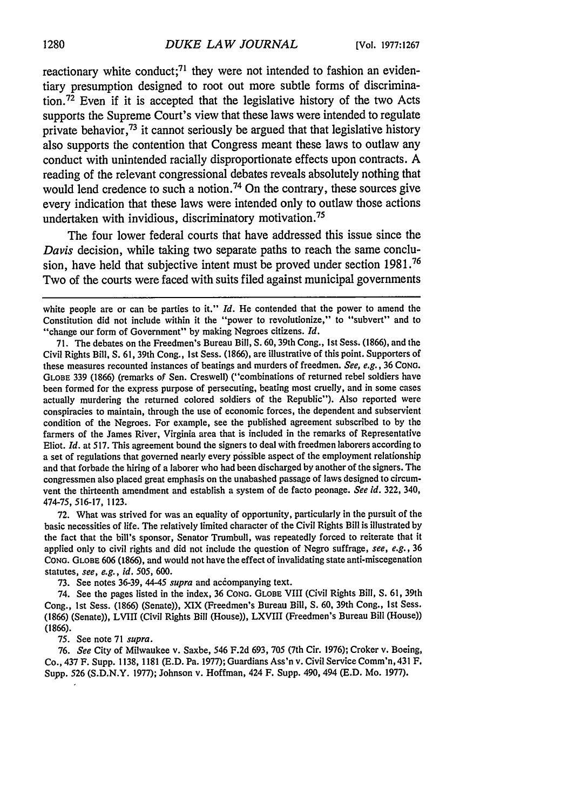reactionary white conduct;<sup>71</sup> they were not intended to fashion an evidentiary presumption designed to root out more subtle forms of discrimination.<sup>72</sup> Even if it is accepted that the legislative history of the two Acts supports the Supreme Court's view that these laws were intended to regulate private behavior,<sup>73</sup> it cannot seriously be argued that that legislative history also supports the contention that Congress meant these laws to outlaw any conduct with unintended racially disproportionate effects upon contracts. A reading of the relevant congressional debates reveals absolutely nothing that would lend credence to such a notion.<sup>74</sup> On the contrary, these sources give every indication that these laws were intended only to outlaw those actions undertaken with invidious, discriminatory motivation. <sup>75</sup>

The four lower federal courts that have addressed this issue since the *Davis* decision, while taking two separate paths to reach the same conclusion, have held that subjective intent must be proved under section **1981.76** Two of the courts were faced with suits filed against municipal governments

72. What was strived for was an equality of opportunity, particularly in the pursuit of the basic necessities of life. The relatively limited character of the Civil Rights Bill is illustrated by the fact that the bill's sponsor, Senator Trumbull, was repeatedly forced to reiterate that it applied only to civil rights and did not include the question of Negro suffrage, *see, e.g.,* 36 CONG. **GLOBE** 606 (1866), and would not have the effect of invalidating state anti-miscegenation statutes, *see, e.g., id.* 505, 600.

73. See notes 36-39, 44-45 *supra* and accompanying text.

74. See the pages listed in the index, 36 **CONG. GLOBE** VIII (Civil Rights Bill, **S.** 61, 39th Cong., Ist Sess. (1866) (Senate)), XIX (Freedmen's Bureau Bill, S. 60, 39th Cong., 1st Sess. (1866) (Senate)), LVIII (Civil Rights Bill (House)), LXVIII (Freedmen's Bureau Bill (House)) (1866).

75. See note 71 *supra.*

76. *See* City of Milwaukee v. Saxbe, 546 F.2d 693, 705 (7th Cir. 1976); Croker v. Boeing, Co., 437 F. Supp. 1138, 1181 (E.D. Pa. 1977); Guardians Ass'n v. Civil Service Comm'n, 431 F. Supp. 526 (S.D.N.Y. 1977); Johnson v. Hoffman, 424 F. Supp. 490, 494 (E.D. Mo. 1977).

white people are or can be parties to it." *Id*. He contended that the power to amend the Constitution did not include within it the "power to revolutionize," to "subvert" and to "change our form of Government" by making Negroes citizens. *Id.*

<sup>71.</sup> The debates on the Freedmen's Bureau Bill, S. 60, 39th Cong., ist Sess. (1866), and the Civil Rights Bill, S. 61, 39th Cong., 1st Sess. (1866), are illustrative of this point. Supporters of these measures recounted instances of beatings and murders of freedmen. *See, e.g.,* 36 CONG. **GLOBE** 339 (1866) (remarks of Sen. Creswell) ("combinations of returned rebel soldiers have been formed for the express purpose of persecuting, beating most cruelly, and in some cases actually murdering the returned colored soldiers of the Republic"). Also reported were conspiracies to maintain, through the use of economic forces, the dependent and subservient condition of the Negroes. For example, see the published agreement subscribed to by the farmers of the James River, Virginia area that is included in the remarks of Representative Eliot. *Id.* at 517. This agreement bound the signers to deal with freedmen laborers according to a set of regulations that governed nearly every possible aspect of the employment relationship and that forbade the hiring of a laborer who had been discharged by another of the signers. The congressmen also placed great emphasis on the unabashed passage of laws designed to circumvent the thirteenth amendment and establish a system of de facto peonage. *See id.* 322, 340, 474-75, 516-17, 1123.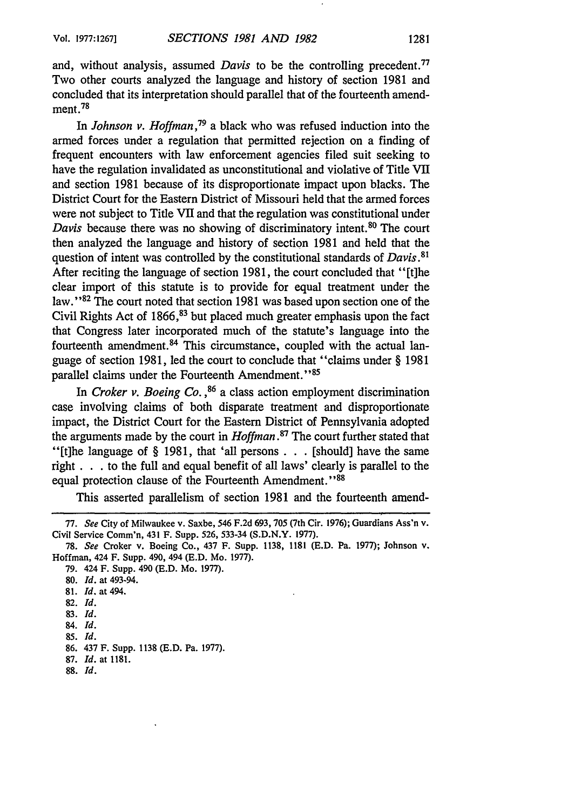and, without analysis, assumed *Davis* to be the controlling precedent." Two other courts analyzed the language and history of section 1981 and concluded that its interpretation should parallel that of the fourteenth amendment. 78

In *Johnson v. Hoffman,79* a black who was refused induction into the armed forces under a regulation that permitted rejection on a finding of frequent encounters with law enforcement agencies filed suit seeking to have the regulation invalidated as unconstitutional and violative of Title VII and section 1981 because of its disproportionate impact upon blacks. The District Court for the Eastern District of Missouri held that the armed forces were not subject to Title VII and that the regulation was constitutional under *Davis* because there was no showing of discriminatory intent.<sup>80</sup> The court then analyzed the language and history of section 1981 and held that the question of intent was controlled by the constitutional standards of *Davis.81* After reciting the language of section 1981, the court concluded that "[t]he clear import of this statute is to provide for equal treatment under the law."<sup>82</sup> The court noted that section 1981 was based upon section one of the Civil Rights Act of  $1866$ ,  $83$  but placed much greater emphasis upon the fact that Congress later incorporated much of the statute's language into the fourteenth amendment. 84 This circumstance, coupled with the actual language of section 1981, led the court to conclude that "claims under § 1981 parallel claims under the Fourteenth Amendment."<sup>85</sup>

In Croker *v. Boeing Co. ,86* a class action employment discrimination case involving claims of both disparate treatment and disproportionate impact, the District Court for the Eastern District of Pennsylvania adopted the arguments made by the court in *Hoffman.87* The court further stated that "[t]he language of § 1981, that 'all persons . . .[should] have the same right **. . .** to the full and equal benefit of all laws' clearly is parallel to the equal protection clause of the Fourteenth Amendment.' **'88**

This asserted parallelism of section 1981 and the fourteenth amend-

79. 424 F. Supp. 490 (E.D. Mo. 1977).

80. **Id.** at 493-94.

- 81. Id. at 494.
- 82. Id.
- **83. Id.**
- 84. **Id.**
- **85. Id.**

- 87. Id. at 1181.
- **88. Id.**

<sup>77.</sup> See City of Milwaukee v. Saxbe, 546 F.2d 693, 705 (7th Cir. 1976); Guardians Ass'n v. Civil Service Comm'n, 431 F. Supp. 526, 533-34 (S.D.N.Y. 1977).

<sup>78.</sup> See Croker v. Boeing Co., 437 F. Supp. 1138, 1181 (E.D. Pa. 1977); Johnson v. Hoffman, 424 F. Supp. 490, 494 (E.D. Mo. 1977).

<sup>86. 437</sup> F. Supp. 1138 (E.D. Pa. 1977).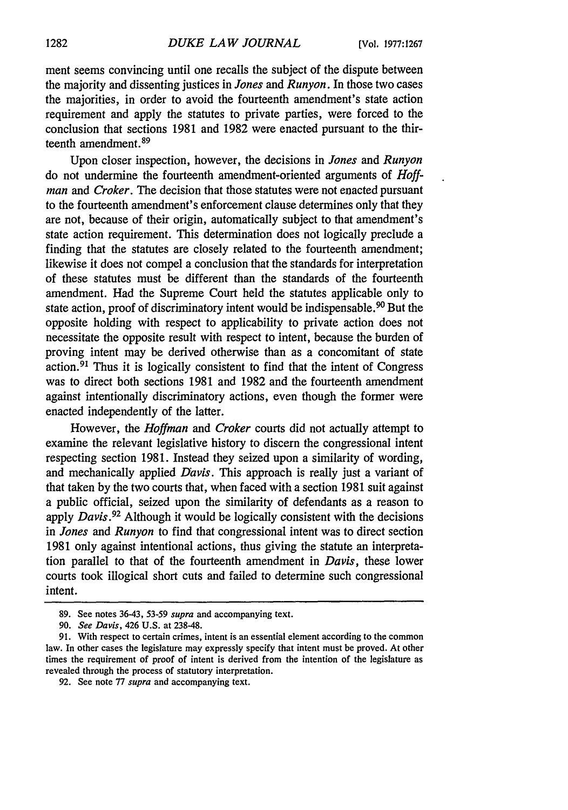ment seems convincing until one recalls the subject of the dispute between the majority and dissenting justices in *Jones and Runyon.* In those two cases the majorities, in order to avoid the fourteenth amendment's state action requirement and apply the statutes to private parties, were forced to the conclusion that sections 1981 and 1982 were enacted pursuant to the thirteenth amendment **. <sup>9</sup>**

Upon closer inspection, however, the decisions in *Jones and Runyon* do not undermine the fourteenth amendment-oriented arguments of *Hoffman and Croker.* The decision that those statutes were not enacted pursuant to the fourteenth amendment's enforcement clause determines only that they are not, because of their origin, automatically subject to that amendment's state action requirement. This determination does not logically preclude a finding that the statutes are closely related to the fourteenth amendment; likewise it does not compel a conclusion that the standards for interpretation of these statutes must be different than the standards of the fourteenth amendment. Had the Supreme Court held the statutes applicable only to state action, proof of discriminatory intent would be indispensable.<sup>90</sup> But the opposite holding with respect to applicability to private action does not necessitate the opposite result with respect to intent, because the burden of proving intent may be derived otherwise than as a concomitant of state action. 91 Thus it is logically consistent to find that the intent of Congress was to direct both sections 1981 and 1982 and the fourteenth amendment against intentionally discriminatory actions, even though the former were enacted independently of the latter.

However, the *Hoffman and Croker* courts did not actually attempt to examine the relevant legislative history to discern the congressional intent respecting section 1981. Instead they seized upon a similarity of wording, and mechanically applied *Davis.* This approach is really just a variant of that taken by the two courts that, when faced with a section 1981 suit against a public official, seized upon the similarity of defendants as a reason to apply *Davis.92* Although it would be logically consistent with the decisions in *Jones and Runyon* to find that congressional intent was to direct section 1981 only against intentional actions, thus giving the statute an interpretation parallel to that of the fourteenth amendment in *Davis,* these lower courts took illogical short cuts and failed to determine such congressional intent.

<sup>89.</sup> See notes 36-43, 53-59 *supra* and accompanying text.

<sup>90.</sup> *See Davis,* 426 U.S. at 238-48.

<sup>91.</sup> With respect to certain crimes, intent is an essential element according to the common law. In other cases the legislature may expressly specify that intent must be proved. At other times the requirement of proof of intent is derived from the intention of the legislature as revealed through the process of statutory interpretation.

<sup>92.</sup> See note 77 *supra* and accompanying text.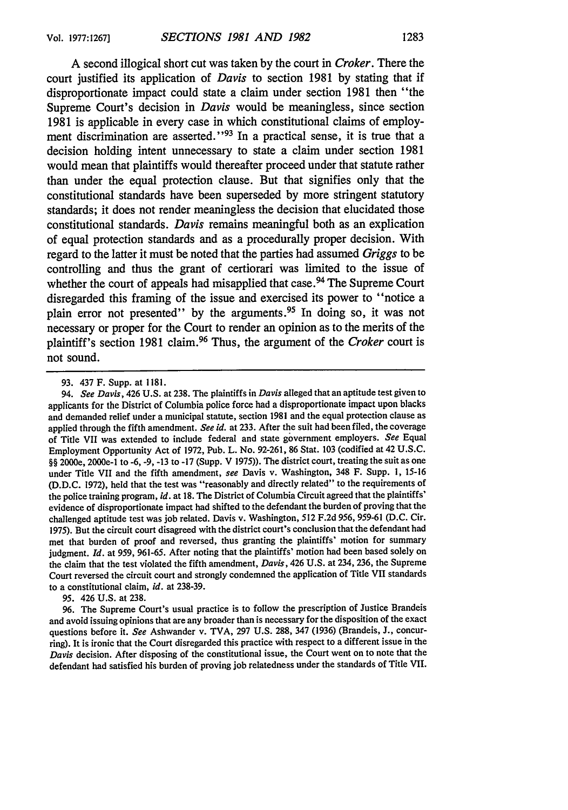A second illogical short cut was taken by the court in *Croker.* There the court justified its application of *Davis* to section 1981 by stating that if disproportionate impact could state a claim under section 1981 then "the Supreme Court's decision in *Davis* would be meaningless, since section 1981 is applicable in every case in which constitutional claims of employment discrimination are asserted."<sup>93</sup> In a practical sense, it is true that a decision holding intent unnecessary to state a claim under section 1981 would mean that plaintiffs would thereafter proceed under that statute rather than under the equal protection clause. But that signifies only that the constitutional standards have been superseded by more stringent statutory standards; it does not render meaningless the decision that elucidated those constitutional standards. *Davis* remains meaningful both as an explication of equal protection standards and as a procedurally proper decision. With regard to the latter it must be noted that the parties had assumed *Griggs* to be controlling and thus the grant of certiorari was limited to the issue of whether the court of appeals had misapplied that case.<sup>94</sup> The Supreme Court disregarded this framing of the issue and exercised its power to "notice a plain error not presented" by the arguments.<sup>95</sup> In doing so, it was not necessary or proper for the Court to render an opinion as to the merits of the plaintiff's section 1981 claim. 96 Thus, the argument of the *Croker* court is not sound.

95. 426 U.S. at 238.

96. The Supreme Court's usual practice is to follow the prescription of Justice Brandeis and avoid issuing opinions that are any broader than is necessary for the disposition of the exact questions before it. *See* Ashwander v. TVA, 297 U.S. 288, 347 (1936) (Brandeis, **J.,** concurring). It is ironic that the Court disregarded this practice with respect to a different issue in the *Davis* decision. After disposing of the constitutional issue, the Court went on to note that the defendant had satisfied his burden of proving job relatedness under the standards of Title VII.

<sup>93. 437</sup> F. Supp. at 1181.

<sup>94.</sup> *See Davis,* 426 U.S. at 238. The plaintiffs in *Davis* alleged that an aptitude test given to applicants for the District of Columbia police force had a disproportionate impact upon blacks and demanded relief under a municipal statute, section 1981 and the equal protection clause as applied through the fifth amendment. *See id.* at 233. After the suit had been filed, the coverage of Title VII was extended to include federal and state government employers. *See* Equal Employment Opportunity Act of 1972, Pub. L. No. 92-261, 86 Stat. 103 (codified at 42 U.S.C. §§ 2000e, 2000e-1 to -6, -9, -13 to -17 (Supp. V 1975)). The district court, treating the suit as one under Title VII and the fifth amendment, *see* Davis v. Washington, 348 F. Supp. 1, 15-16 (D.D.C. 1972), held that the test was "reasonably and directly related" to the requirements of the police training program, *id.* at 18. The District of Columbia Circuit agreed that the plaintiffs' evidence of disproportionate impact had shifted to the defendant the burden of proving that the challenged aptitude test was job related. Davis v. Washington, 512 F.2d 956, 959-61 (D.C. Cir. 1975). But the circuit court disagreed with the district court's conclusion that the defendant had met that burden of proof and reversed, thus granting the plaintiffs' motion for summary judgment. *Id.* at 959, 961-65. After noting that the plaintiffs' motion had been based solely on the claim that the test violated the fifth amendment, *Davis,* 426 U.S. at 234, 236, the Supreme Court reversed the circuit court and strongly condemned the application of Title VII standards to a constitutional claim, *id.* at 238-39.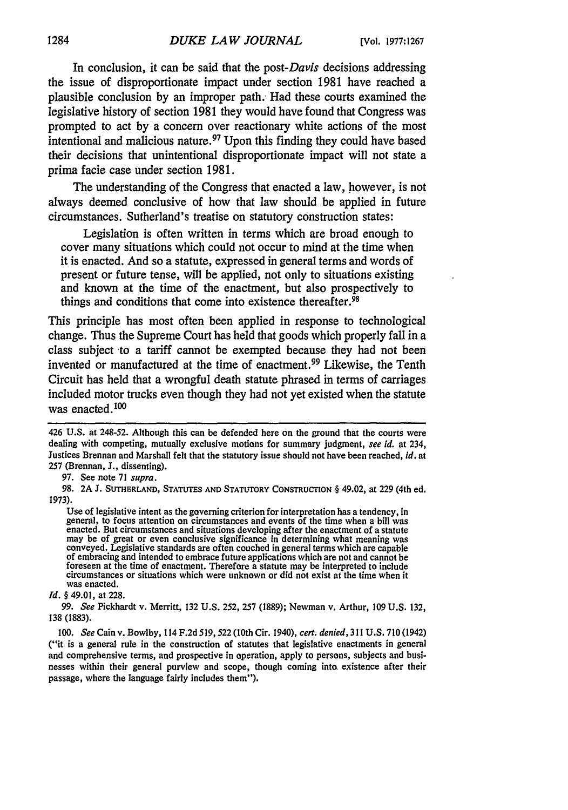In conclusion, it can be said that the *post-Davis* decisions addressing the issue of disproportionate impact under section 1981 have reached a plausible conclusion by an improper path. Had these courts examined the legislative history of section 1981 they would have found that Congress was prompted to act by a concern over reactionary white actions of the most intentional and malicious nature. 97 Upon this finding they could have based their decisions that unintentional disproportionate impact will not state a prima facie case under section 1981.

The understanding of the Congress that enacted a law, however, is not always deemed conclusive of how that law should be applied in future circumstances. Sutherland's treatise on statutory construction states:

Legislation is often written in terms which are broad enough to cover many situations which could not occur to mind at the time when it is enacted. And so a statute, expressed in general terms and words of present or future tense, will be applied, not only to situations existing and known at the time of the enactment, but also prospectively to things and conditions that come into existence thereafter.<sup>98</sup>

This principle has most often been applied in response to technological change. Thus the Supreme Court has held that goods which properly fall in a class subject to a tariff cannot be exempted because they had not been invented or manufactured at the time of enactment. 99 Likewise, the Tenth Circuit has held that a wrongful death statute phrased in terms of carriages included motor trucks even though they had not yet existed when the statute was enacted.<sup>100</sup>

<sup>426</sup> U.S. at 248-52. Although this can be defended here on the ground that the courts were dealing with competing, mutually exclusive motions for summary judgment, *see id.* at 234, Justices Brennan and Marshall felt that the statutory issue should not have been reached, *id.* at 257 (Brennan, J., dissenting).

<sup>97.</sup> See note 71 *supra.*

**<sup>98. 2</sup>A J. SUTHERLAND,** STATUTES **AND** STATUTORY CONSTRUCTION § 49.02, at **229** (4th ed. **1973).**

Use of legislative intent as the governing criterion for interpretation has a tendency, in general, to focus attention on circumstances and events of the time when a bill was general, to focus attention on circumstances and situations developing after the enactment of a statute may be of great or even conclusive significance in determining what meaning was conveyed. Legislative standards are often couched in general terms which are capable of embracing and intended to embrace future applications foreseen at the time of enactment. Therefore a statute may be interpreted to include circumstances or situations which were unknown or did not exist at the time when it was enacted.

*Id. §* 49.01, at 228.

<sup>99.</sup> *See* Pickhardt v. Merritt, 132 U.S. 252, 257 (1889); Newman v. Arthur, 109 U.S. 132, 138 (1883).

*<sup>100.</sup> See* Cain v. Bowlby, 114 F.2d 519,522 (10th Cir. 1940), *cert. denied,* 311 **U.S.** 710 (1942) ("it is a general rule in the construction of statutes that legislative enactments in general and comprehensive terms, and prospective in operation, apply to persons, subjects and businesses within their general purview and scope, though coming into. existence after their passage, where the language fairly includes them").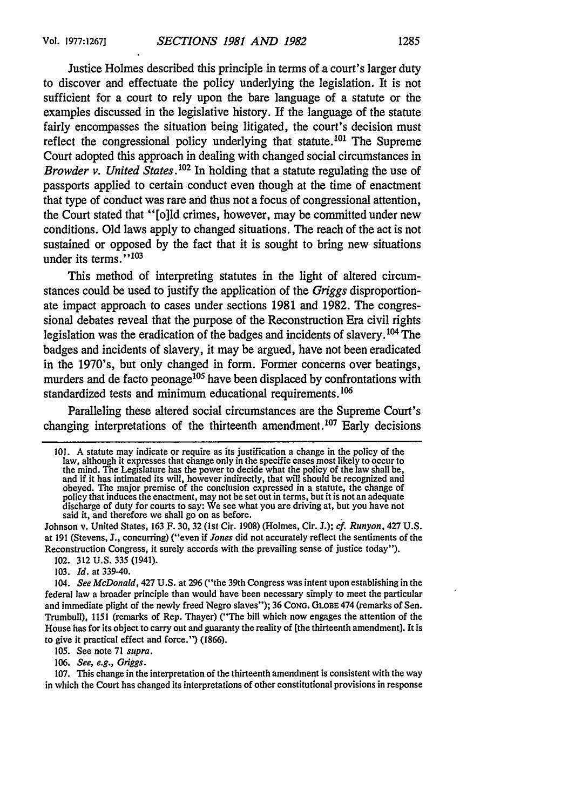Justice Holmes described this principle in terms of a court's larger duty to discover and effectuate the policy underlying the legislation. It is not sufficient for a court to rely upon the bare language of a statute or the examples discussed in the legislative history. If the language of the statute fairly encompasses the situation being litigated, the court's decision must reflect the congressional policy underlying that statute. 101 The Supreme Court adopted this approach in dealing with changed social circumstances in *Browder v. United States*.<sup>102</sup> In holding that a statute regulating the use of passports applied to certain conduct even though at the time of enactment that type of conduct was rare and thus not a focus of congressional attention, the Court stated that "[o]ld crimes, however, may be committed under new conditions. Old laws apply to changed situations. The reach of the act is not sustained or opposed by the fact that it is sought to bring new situations under its terms."<sup>103</sup>

This method of interpreting statutes in the light of altered circumstances could be used to justify the application of the *Griggs* disproportionate impact approach to cases under sections 1981 and 1982. The congressional debates reveal that the purpose of the Reconstruction Era civil rights legislation was the eradication of the badges and incidents of slavery. 104 The badges and incidents of slavery, it may be argued, have not been eradicated in the 1970's, but only changed in form. Former concerns over beatings, murders and de facto peonage<sup>105</sup> have been displaced by confrontations with standardized tests and minimum educational requirements.<sup>106</sup>

Paralleling these altered social circumstances are the Supreme Court's changing interpretations of the thirteenth amendment.<sup>107</sup> Early decisions

Johnson v. United States, 163 F. 30, 32 (1st Cir. 1908) (Holmes, Cir. J.); *cf. Runyon,* 427 **U.S.** at 191 (Stevens, **J.,** concurring) ("even if *Jones* did not accurately reflect the sentiments of the Reconstruction Congress, it surely accords with the prevailing sense of justice today").

102. 312 U.S. 335 (1941).

103. *Id.* at 339-40.

*104. See McDonald,* 427 U.S. at 296 ("the 39th Congress was intent upon establishing in the federal law a broader principle than would have been necessary simply to meet the particular and immediate plight of the newly freed Negro slaves"); 36 **CONG. GLOBE** 474 (remarks of Sen. Trumbull), 1151 (remarks of Rep. Thayer) ("The bill which now engages the attention of the House has for its object to carry out and guaranty the reality of [the thirteenth amendment]. It is to give it practical effect and force.") (1866).

105. See note 71 *supra.*

106. *See, e.g., Griggs.*

107. This change in the interpretation of the thirteenth amendment is consistent with the way in which the Court has changed its interpretations of other constitutional provisions in response

<sup>101.</sup> A statute may indicate or require as its justification a change in the policy of the law, although it expresses that change only in the specific cases most likely to occur to the mind. The Legislature has the power to decide what the policy of the law shall be, and if it has intimated its will, however indirectly, that will should be recognized and obeyed. The major premise of the conclusion expressed in a statute, the change of policy that induces the enactment, may not be set out in terms, but it is not an adequate discharge of duty for courts to say: We see what you are driving at, but you have not said it, and therefore we shall go on as before.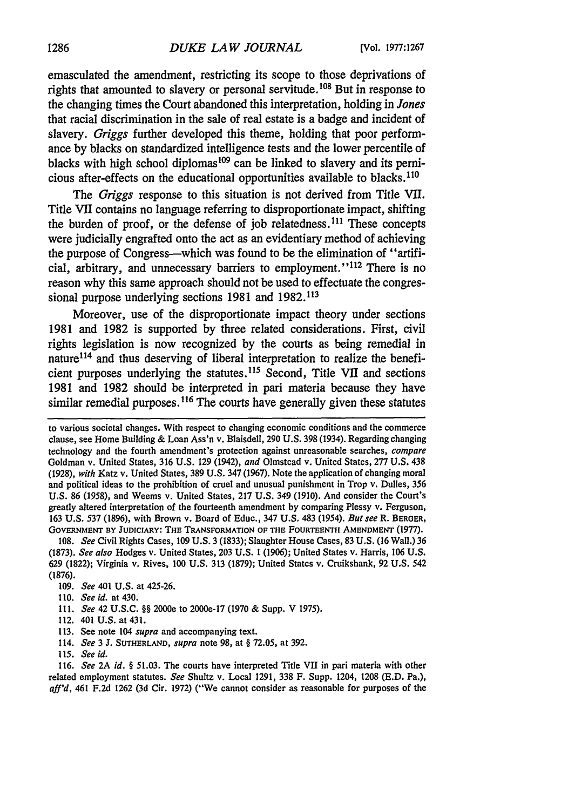emasculated the amendment, restricting its scope to those deprivations of rights that amounted to slavery or personal servitude.<sup>108</sup> But in response to the changing times the Court abandoned this interpretation, holding in *Jones* that racial discrimination in the sale of real estate is a badge and incident of slavery. *Griggs* further developed this theme, holding that poor performance by blacks on standardized intelligence tests and the lower percentile of blacks with high school diplomas<sup>109</sup> can be linked to slavery and its pernicious after-effects on the educational opportunities available to blacks.110

*The Griggs* response to this situation is not derived from Title VII. Title VII contains no language referring to disproportionate impact, shifting the burden of proof, or the defense of job relatedness.<sup>111</sup> These concepts were judicially engrafted onto the act as an evidentiary method of achieving the purpose of Congress-which was found to be the elimination of "artificial, arbitrary, and unnecessary barriers to employment."<sup>112</sup> There is no reason why this same approach should not be used to effectuate the congressional purpose underlying sections 1981 and 1982.113

Moreover, use of the disproportionate impact theory under sections 1981 and 1982 is supported by three related considerations. First, civil rights legislation is now recognized by the courts as being remedial in nature<sup>114</sup> and thus deserving of liberal interpretation to realize the beneficient purposes underlying the statutes.<sup>115</sup> Second, Title VII and sections 1981 and 1982 should be interpreted in pari materia because they have similar remedial purposes.<sup>116</sup> The courts have generally given these statutes

**108.** *See* Civil Rights Cases, **109 U.S. 3 (1833);** Slaughter House Cases, **83 U.S. (16** Wall.) **36 (1873).** *See also* Hodges v. United States, **203 U.S. 1 (1906);** United States v. Harris, **106 U.S. 629 (1822);** Virginia v. Rives, **100 U.S. 313 (1879);** United States v. Cruikshank, **92 U.S.** 542 (1876).

- 109. *See* 401 U.S. at 425-26.
- 110. *See id.* at 430.
- 111. *See* 42 U.S.C. §§ 2000e to 2000e-17 (1970 & Supp. V 1975).
- 112. 401 U.S. at 431.
- 113. See note 104 *supra* and accompanying text.
- 114. *See* 3 J. **SUTHERLAND,** *supra* note 98, at § 72.05, at 392.
- 115. *See id.*

116. *See 2A id. §* 51.03. The courts have interpreted Title VII in pari materia with other related employment statutes. *See* Shultz v. Local 1291, 338 F. Supp. 1204, 1208 **(E.D.** Pa.), *aff'd,* 461 F.2d 1262 (3d Cir. 1972) ("We cannot consider as reasonable for purposes of the

to various societal changes. With respect to changing economic conditions and the commerce clause, see Home Building & Loan Ass'n v. Blaisdell, 290 U.S. 398 (1934). Regarding changing technology and the fourth amendment's protection against unreasonable searches, compare Goldman v. United States, 316 U.S. 129 (1942), *and* Olmstead v. United States, 277 U.S. 438 (1928), *with* Katz v. United States, 389 U.S. 347 (1967). Note the application of changing moral and political ideas to the prohibition of cruel and unusual punishment in Trop v. Dulles, 356 U.S. 86 (1958), and Weems v. United States, 217 U.S. 349 (1910). And consider the Court's greatly altered interpretation of the fourteenth amendment by comparing Plessy v. Ferguson, 163 U.S. 537 (1896), with Brown v. Board of Educ., 347 U.S. 483 (1954). *But see* R. BERGER, **GOVERNMENT BY JUDICIARY:** THE TRANSFORMATION **OF THE FOURTEENTH AMENDMENT (1977).**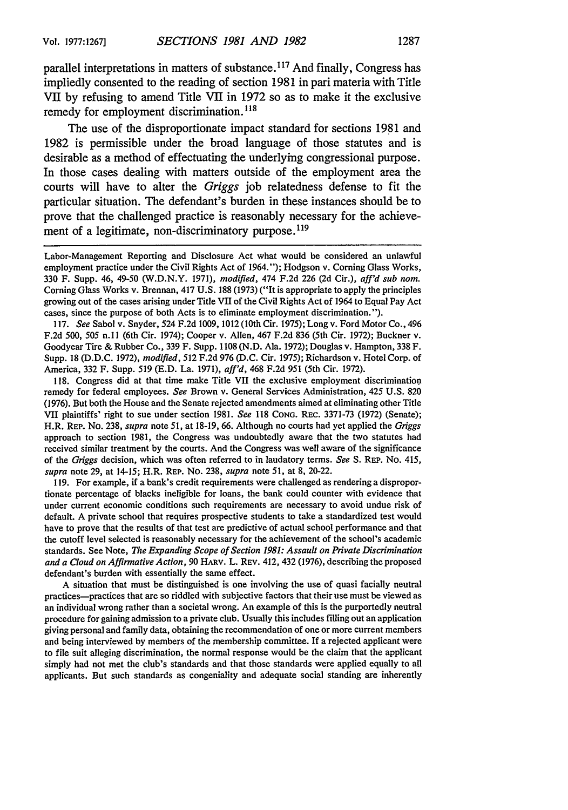parallel interpretations in matters of substance. 117 And finally, Congress has impliedly consented to the reading of section **1981** in **pari** materia with Title VII **by** refusing to amend Title VII in **1972 so** as to make it the exclusive remedy for employment discrimination. **<sup>118</sup>**

The use of the disproportionate impact standard for sections **1981** and **1982** is permissible under the broad language of those statutes and is desirable as a method of effectuating the underlying congressional purpose. In those cases dealing with matters outside of the employment area the courts will have to alter the *Griggs* **job** relatedness defense to fit the particular situation. The defendant's burden in these instances should be to prove that the challenged practice is reasonably necessary for the achievement of a legitimate, non-discriminatory purpose.<sup>119</sup>

Labor-Management Reporting and Disclosure Act what would be considered an unlawful employment practice under the Civil Rights Act of 1964."); Hodgson v. Corning Glass Works, 330 F. Supp. 46, 49-50 (W.D.N.Y. 1971), *modified,* 474 F.2d 226 (2d Cir.), *aff'd sub nom.* Corning Glass Works v. Brennan, 417 U.S. 188 (1973) ("It is appropriate to apply the principles growing out of the cases arising under Title VII of the Civil Rights Act of 1964 to Equal Pay Act cases, since the purpose of both Acts is to eliminate employment discrimination.").

117. *See* Sabol v. Snyder, 524 F.2d 1009, 1012 (10th Cir. 1975); Long v. Ford Motor Co., 496 F.2d 500, 505 n.ll (6th Cir. 1974); Cooper v. Allen, 467 F.2d 836 (5th Cir. 1972); Buckner v. Goodyear Tire & Rubber Co., 339 F. Supp. 1108 (N.D. Ala. 1972); Douglas v. Hampton, 338 F. Supp. 18 (D.D.C. 1972), *modified,* 512 F.2d 976 (D.C. Cir. 1975); Richardson v. Hotel Corp. of America, 332 F. Supp. 519 (E.D. La. 1971), *aff'd,* 468 F.2d 951 (5th Cir. 1972).

118. Congress did at that time make Title VII the exclusive employment discriminatiou remedy for federal employees. *See* Brown v. General Services Administration, 425 U.S. 820 (1976). But both the House and the Senate rejected amendments aimed at eliminating other Title VII plaintiffs' right to sue under section 1981. *See* **118 CONG.** REC. 3371-73 (1972) (Senate); H.R. REP. No. 238, *supra* note 51, at 18-19, 66. Although no courts had yet applied the *Griggs* approach to section 1981, the Congress was undoubtedly aware that the two statutes had received similar treatment by the courts. And the Congress was well aware of the significance of the *Griggs* decision, which was often referred to in laudatory terms. *See* S. REP. No. 415, supra note 29, at 14-15; H.R. REP. No. 238, *supra* note 51, at 8, 20-22.

119. For example, if a bank's credit requirements were challenged as rendering a disproportionate percentage of blacks ineligible for loans, the bank could counter with evidence that under current economic conditions such requirements are necessary to avoid undue risk of default. A private school that requires prospective students to take a standardized test would have to prove that the results of that test are predictive of actual school performance and that the cutoff level selected is reasonably necessary for the achievement of the school's academic standards. See Note, *The Expanding Scope of Section 1981: Assault on Private Discrimination and a Cloud on Affirmative Action,* 90 HARV. L. REV. 412, 432 (1976), describing the proposed defendant's burden with essentially the same effect.

A situation that must be distinguished is one involving the use of quasi facially neutral practices-practices that are so riddled with subjective factors that their use must be viewed as an individual wrong rather than a societal wrong. An example of this is the purportedly neutral procedure for gaining admission to a private club. Usually this includes filling out an application giving personal and family data, obtaining the recommendation of one or more current members and being interviewed by members of the membership committee. **If** a rejected applicant were to file suit alleging discrimination, the normal response would be the claim that the applicant simply had not met the club's standards and that those standards were applied equally to all applicants. But such standards as congeniality and adequate social standing are inherently